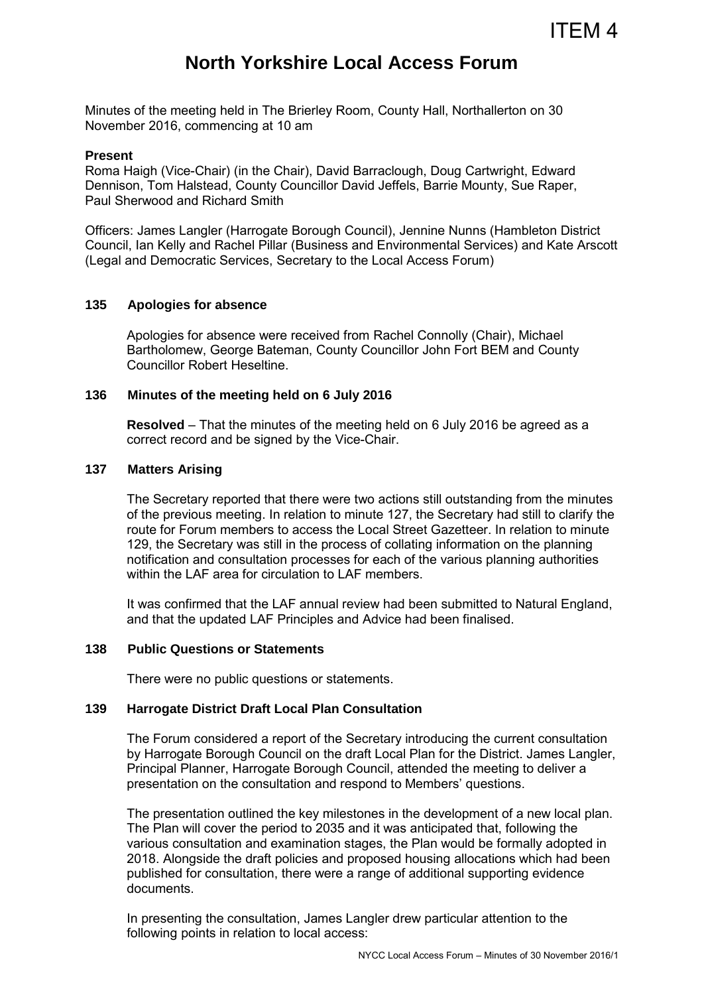# **North Yorkshire Local Access Forum**

Minutes of the meeting held in The Brierley Room, County Hall, Northallerton on 30 November 2016, commencing at 10 am

#### **Present**

Roma Haigh (Vice-Chair) (in the Chair), David Barraclough, Doug Cartwright, Edward Dennison, Tom Halstead, County Councillor David Jeffels, Barrie Mounty, Sue Raper, Paul Sherwood and Richard Smith

Officers: James Langler (Harrogate Borough Council), Jennine Nunns (Hambleton District Council, Ian Kelly and Rachel Pillar (Business and Environmental Services) and Kate Arscott (Legal and Democratic Services, Secretary to the Local Access Forum)

# **135 Apologies for absence**

Apologies for absence were received from Rachel Connolly (Chair), Michael Bartholomew, George Bateman, County Councillor John Fort BEM and County Councillor Robert Heseltine.

## **136 Minutes of the meeting held on 6 July 2016**

**Resolved** – That the minutes of the meeting held on 6 July 2016 be agreed as a correct record and be signed by the Vice-Chair.

#### **137 Matters Arising**

 The Secretary reported that there were two actions still outstanding from the minutes of the previous meeting. In relation to minute 127, the Secretary had still to clarify the route for Forum members to access the Local Street Gazetteer. In relation to minute 129, the Secretary was still in the process of collating information on the planning notification and consultation processes for each of the various planning authorities within the LAF area for circulation to LAF members.

It was confirmed that the LAF annual review had been submitted to Natural England, and that the updated LAF Principles and Advice had been finalised.

#### **138 Public Questions or Statements**

There were no public questions or statements.

# **139 Harrogate District Draft Local Plan Consultation**

The Forum considered a report of the Secretary introducing the current consultation by Harrogate Borough Council on the draft Local Plan for the District. James Langler, Principal Planner, Harrogate Borough Council, attended the meeting to deliver a presentation on the consultation and respond to Members' questions.

The presentation outlined the key milestones in the development of a new local plan. The Plan will cover the period to 2035 and it was anticipated that, following the various consultation and examination stages, the Plan would be formally adopted in 2018. Alongside the draft policies and proposed housing allocations which had been published for consultation, there were a range of additional supporting evidence documents.

In presenting the consultation, James Langler drew particular attention to the following points in relation to local access: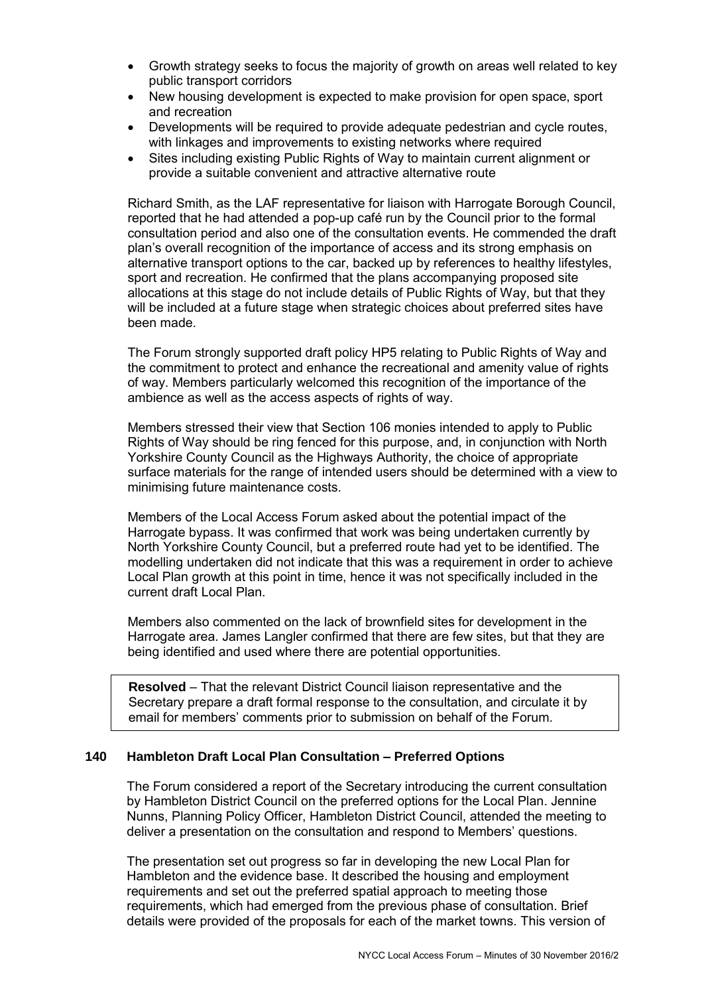- Growth strategy seeks to focus the majority of growth on areas well related to key public transport corridors
- New housing development is expected to make provision for open space, sport and recreation
- Developments will be required to provide adequate pedestrian and cycle routes, with linkages and improvements to existing networks where required
- Sites including existing Public Rights of Way to maintain current alignment or provide a suitable convenient and attractive alternative route

Richard Smith, as the LAF representative for liaison with Harrogate Borough Council, reported that he had attended a pop-up café run by the Council prior to the formal consultation period and also one of the consultation events. He commended the draft plan's overall recognition of the importance of access and its strong emphasis on alternative transport options to the car, backed up by references to healthy lifestyles, sport and recreation. He confirmed that the plans accompanying proposed site allocations at this stage do not include details of Public Rights of Way, but that they will be included at a future stage when strategic choices about preferred sites have been made.

The Forum strongly supported draft policy HP5 relating to Public Rights of Way and the commitment to protect and enhance the recreational and amenity value of rights of way. Members particularly welcomed this recognition of the importance of the ambience as well as the access aspects of rights of way.

Members stressed their view that Section 106 monies intended to apply to Public Rights of Way should be ring fenced for this purpose, and, in conjunction with North Yorkshire County Council as the Highways Authority, the choice of appropriate surface materials for the range of intended users should be determined with a view to minimising future maintenance costs.

Members of the Local Access Forum asked about the potential impact of the Harrogate bypass. It was confirmed that work was being undertaken currently by North Yorkshire County Council, but a preferred route had yet to be identified. The modelling undertaken did not indicate that this was a requirement in order to achieve Local Plan growth at this point in time, hence it was not specifically included in the current draft Local Plan.

Members also commented on the lack of brownfield sites for development in the Harrogate area. James Langler confirmed that there are few sites, but that they are being identified and used where there are potential opportunities.

**Resolved** – That the relevant District Council liaison representative and the Secretary prepare a draft formal response to the consultation, and circulate it by email for members' comments prior to submission on behalf of the Forum.

## **140 Hambleton Draft Local Plan Consultation – Preferred Options**

The Forum considered a report of the Secretary introducing the current consultation by Hambleton District Council on the preferred options for the Local Plan. Jennine Nunns, Planning Policy Officer, Hambleton District Council, attended the meeting to deliver a presentation on the consultation and respond to Members' questions.

The presentation set out progress so far in developing the new Local Plan for Hambleton and the evidence base. It described the housing and employment requirements and set out the preferred spatial approach to meeting those requirements, which had emerged from the previous phase of consultation. Brief details were provided of the proposals for each of the market towns. This version of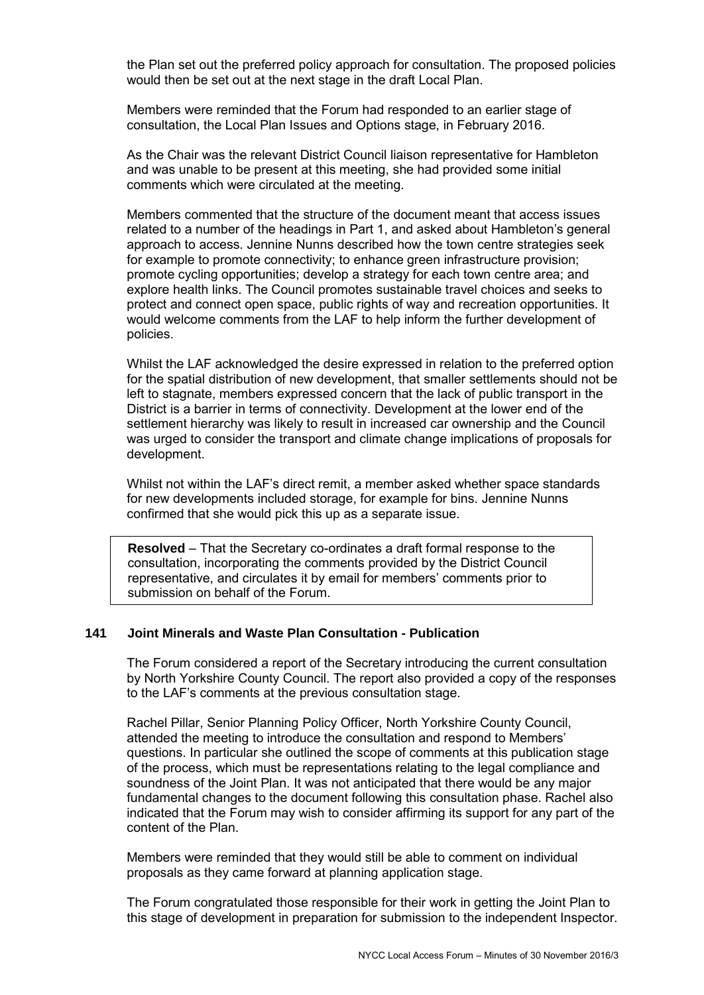the Plan set out the preferred policy approach for consultation. The proposed policies would then be set out at the next stage in the draft Local Plan.

Members were reminded that the Forum had responded to an earlier stage of consultation, the Local Plan Issues and Options stage, in February 2016.

As the Chair was the relevant District Council liaison representative for Hambleton and was unable to be present at this meeting, she had provided some initial comments which were circulated at the meeting.

Members commented that the structure of the document meant that access issues related to a number of the headings in Part 1, and asked about Hambleton's general approach to access. Jennine Nunns described how the town centre strategies seek for example to promote connectivity; to enhance green infrastructure provision; promote cycling opportunities; develop a strategy for each town centre area; and explore health links. The Council promotes sustainable travel choices and seeks to protect and connect open space, public rights of way and recreation opportunities. It would welcome comments from the LAF to help inform the further development of policies.

Whilst the LAF acknowledged the desire expressed in relation to the preferred option for the spatial distribution of new development, that smaller settlements should not be left to stagnate, members expressed concern that the lack of public transport in the District is a barrier in terms of connectivity. Development at the lower end of the settlement hierarchy was likely to result in increased car ownership and the Council was urged to consider the transport and climate change implications of proposals for development.

Whilst not within the LAF's direct remit, a member asked whether space standards for new developments included storage, for example for bins. Jennine Nunns confirmed that she would pick this up as a separate issue.

**Resolved** – That the Secretary co-ordinates a draft formal response to the consultation, incorporating the comments provided by the District Council representative, and circulates it by email for members' comments prior to submission on behalf of the Forum.

#### **141 Joint Minerals and Waste Plan Consultation - Publication**

The Forum considered a report of the Secretary introducing the current consultation by North Yorkshire County Council. The report also provided a copy of the responses to the LAF's comments at the previous consultation stage.

Rachel Pillar, Senior Planning Policy Officer, North Yorkshire County Council, attended the meeting to introduce the consultation and respond to Members' questions. In particular she outlined the scope of comments at this publication stage of the process, which must be representations relating to the legal compliance and soundness of the Joint Plan. It was not anticipated that there would be any major fundamental changes to the document following this consultation phase. Rachel also indicated that the Forum may wish to consider affirming its support for any part of the content of the Plan.

Members were reminded that they would still be able to comment on individual proposals as they came forward at planning application stage.

The Forum congratulated those responsible for their work in getting the Joint Plan to this stage of development in preparation for submission to the independent Inspector.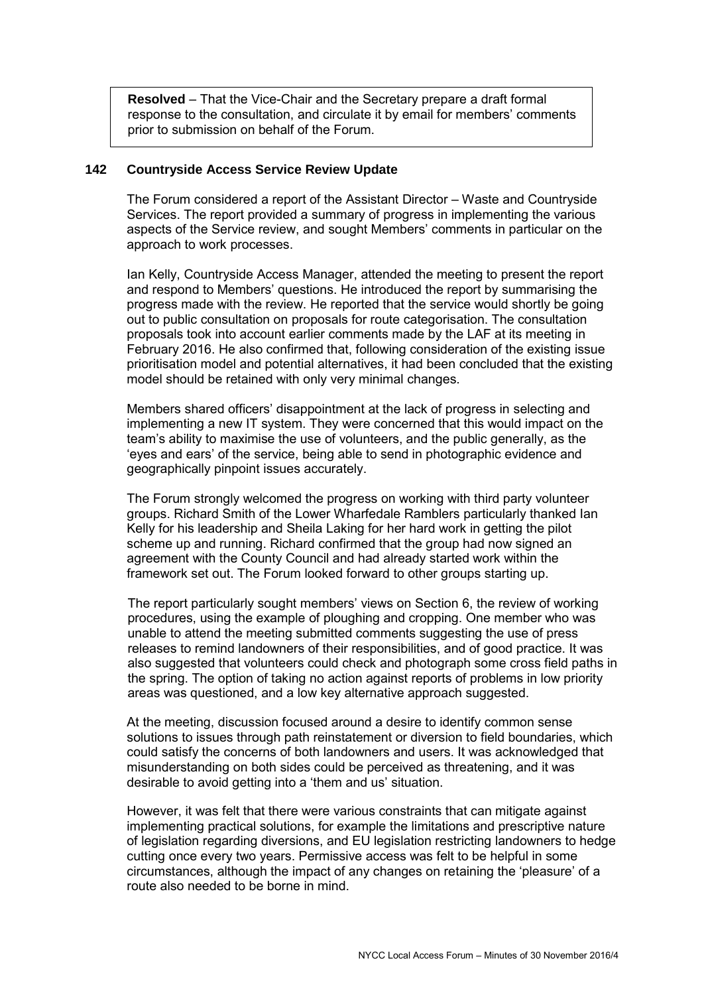**Resolved** – That the Vice-Chair and the Secretary prepare a draft formal response to the consultation, and circulate it by email for members' comments prior to submission on behalf of the Forum.

## **142 Countryside Access Service Review Update**

The Forum considered a report of the Assistant Director – Waste and Countryside Services. The report provided a summary of progress in implementing the various aspects of the Service review, and sought Members' comments in particular on the approach to work processes.

Ian Kelly, Countryside Access Manager, attended the meeting to present the report and respond to Members' questions. He introduced the report by summarising the progress made with the review. He reported that the service would shortly be going out to public consultation on proposals for route categorisation. The consultation proposals took into account earlier comments made by the LAF at its meeting in February 2016. He also confirmed that, following consideration of the existing issue prioritisation model and potential alternatives, it had been concluded that the existing model should be retained with only very minimal changes.

Members shared officers' disappointment at the lack of progress in selecting and implementing a new IT system. They were concerned that this would impact on the team's ability to maximise the use of volunteers, and the public generally, as the 'eyes and ears' of the service, being able to send in photographic evidence and geographically pinpoint issues accurately.

The Forum strongly welcomed the progress on working with third party volunteer groups. Richard Smith of the Lower Wharfedale Ramblers particularly thanked Ian Kelly for his leadership and Sheila Laking for her hard work in getting the pilot scheme up and running. Richard confirmed that the group had now signed an agreement with the County Council and had already started work within the framework set out. The Forum looked forward to other groups starting up.

The report particularly sought members' views on Section 6, the review of working procedures, using the example of ploughing and cropping. One member who was unable to attend the meeting submitted comments suggesting the use of press releases to remind landowners of their responsibilities, and of good practice. It was also suggested that volunteers could check and photograph some cross field paths in the spring. The option of taking no action against reports of problems in low priority areas was questioned, and a low key alternative approach suggested.

At the meeting, discussion focused around a desire to identify common sense solutions to issues through path reinstatement or diversion to field boundaries, which could satisfy the concerns of both landowners and users. It was acknowledged that misunderstanding on both sides could be perceived as threatening, and it was desirable to avoid getting into a 'them and us' situation.

However, it was felt that there were various constraints that can mitigate against implementing practical solutions, for example the limitations and prescriptive nature of legislation regarding diversions, and EU legislation restricting landowners to hedge cutting once every two years. Permissive access was felt to be helpful in some circumstances, although the impact of any changes on retaining the 'pleasure' of a route also needed to be borne in mind.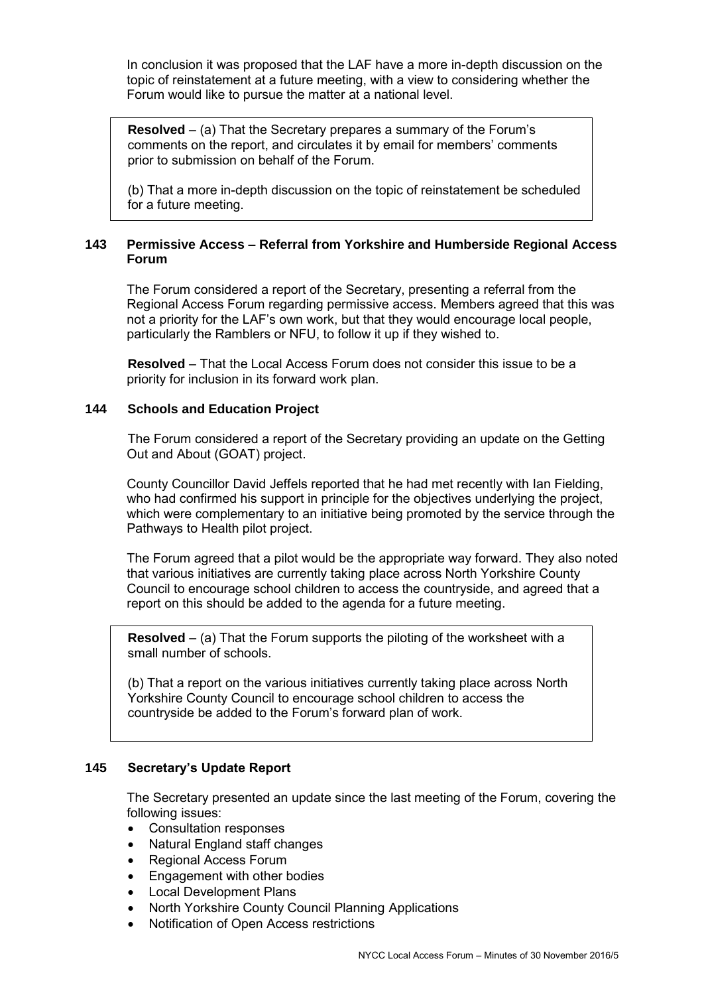In conclusion it was proposed that the LAF have a more in-depth discussion on the topic of reinstatement at a future meeting, with a view to considering whether the Forum would like to pursue the matter at a national level.

**Resolved** – (a) That the Secretary prepares a summary of the Forum's comments on the report, and circulates it by email for members' comments prior to submission on behalf of the Forum.

(b) That a more in-depth discussion on the topic of reinstatement be scheduled for a future meeting.

# **143 Permissive Access – Referral from Yorkshire and Humberside Regional Access Forum**

The Forum considered a report of the Secretary, presenting a referral from the Regional Access Forum regarding permissive access. Members agreed that this was not a priority for the LAF's own work, but that they would encourage local people, particularly the Ramblers or NFU, to follow it up if they wished to.

 **Resolved** – That the Local Access Forum does not consider this issue to be a priority for inclusion in its forward work plan.

# **144 Schools and Education Project**

 The Forum considered a report of the Secretary providing an update on the Getting Out and About (GOAT) project.

County Councillor David Jeffels reported that he had met recently with Ian Fielding, who had confirmed his support in principle for the objectives underlying the project, which were complementary to an initiative being promoted by the service through the Pathways to Health pilot project.

The Forum agreed that a pilot would be the appropriate way forward. They also noted that various initiatives are currently taking place across North Yorkshire County Council to encourage school children to access the countryside, and agreed that a report on this should be added to the agenda for a future meeting.

**Resolved** – (a) That the Forum supports the piloting of the worksheet with a small number of schools.

(b) That a report on the various initiatives currently taking place across North Yorkshire County Council to encourage school children to access the countryside be added to the Forum's forward plan of work.

# **145 Secretary's Update Report**

 The Secretary presented an update since the last meeting of the Forum, covering the following issues:

- Consultation responses
- Natural England staff changes
- Regional Access Forum
- Engagement with other bodies
- Local Development Plans
- North Yorkshire County Council Planning Applications
- Notification of Open Access restrictions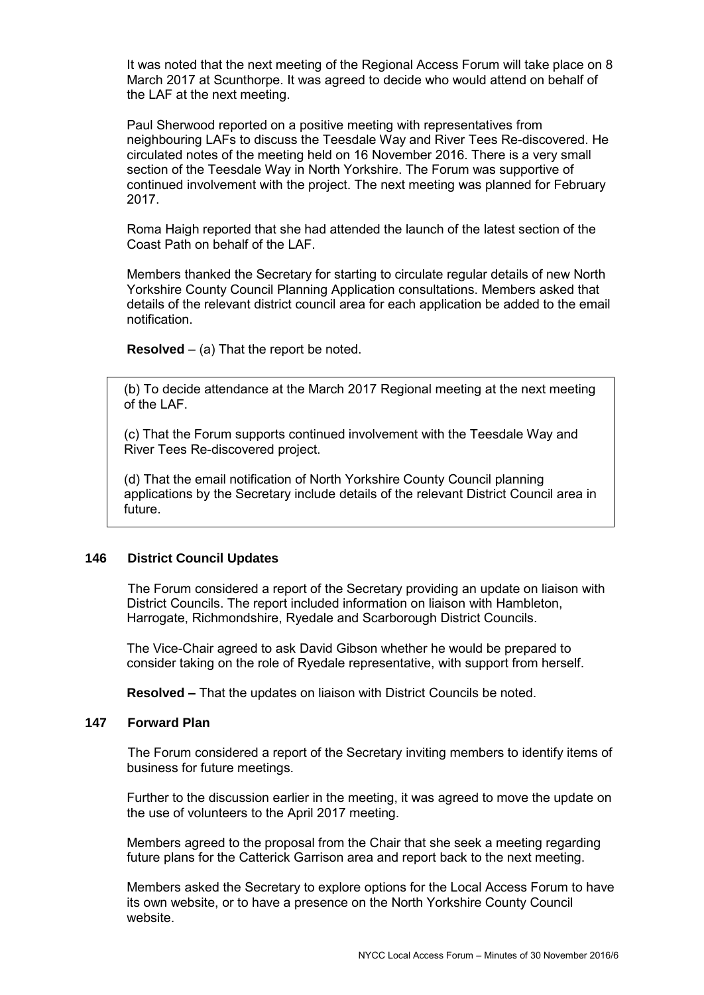It was noted that the next meeting of the Regional Access Forum will take place on 8 March 2017 at Scunthorpe. It was agreed to decide who would attend on behalf of the LAF at the next meeting.

Paul Sherwood reported on a positive meeting with representatives from neighbouring LAFs to discuss the Teesdale Way and River Tees Re-discovered. He circulated notes of the meeting held on 16 November 2016. There is a very small section of the Teesdale Way in North Yorkshire. The Forum was supportive of continued involvement with the project. The next meeting was planned for February 2017.

Roma Haigh reported that she had attended the launch of the latest section of the Coast Path on behalf of the LAF.

Members thanked the Secretary for starting to circulate regular details of new North Yorkshire County Council Planning Application consultations. Members asked that details of the relevant district council area for each application be added to the email notification.

**Resolved** – (a) That the report be noted.

(b) To decide attendance at the March 2017 Regional meeting at the next meeting of the LAF.

(c) That the Forum supports continued involvement with the Teesdale Way and River Tees Re-discovered project.

(d) That the email notification of North Yorkshire County Council planning applications by the Secretary include details of the relevant District Council area in future.

## **146 District Council Updates**

The Forum considered a report of the Secretary providing an update on liaison with District Councils. The report included information on liaison with Hambleton, Harrogate, Richmondshire, Ryedale and Scarborough District Councils.

The Vice-Chair agreed to ask David Gibson whether he would be prepared to consider taking on the role of Ryedale representative, with support from herself.

**Resolved –** That the updates on liaison with District Councils be noted.

## **147 Forward Plan**

The Forum considered a report of the Secretary inviting members to identify items of business for future meetings.

Further to the discussion earlier in the meeting, it was agreed to move the update on the use of volunteers to the April 2017 meeting.

Members agreed to the proposal from the Chair that she seek a meeting regarding future plans for the Catterick Garrison area and report back to the next meeting.

Members asked the Secretary to explore options for the Local Access Forum to have its own website, or to have a presence on the North Yorkshire County Council website.